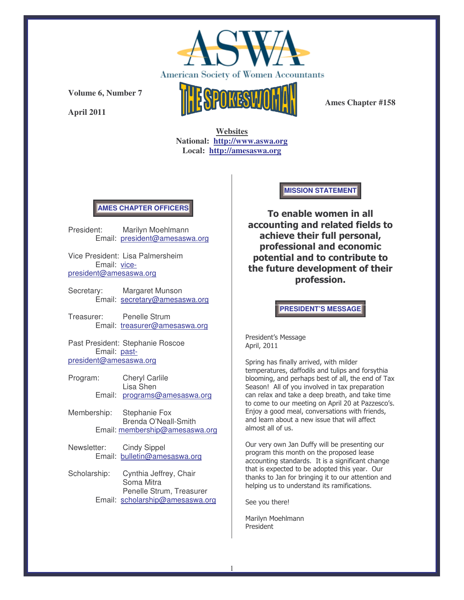

**April 2011**



**Ames Chapter #158**

**Websites National: http://www.aswa.org Local: http://amesaswa.org**

# **AMES CHAPTER OFFICERS**

President: Marilyn Moehlmann Email: president@amesaswa.org

Vice President: Lisa Palmersheim Email: vicepresident@amesaswa.org

Secretary: Margaret Munson Email: secretary@amesaswa.org

Treasurer: Penelle Strum Email: treasurer@amesaswa.org

Past President: Stephanie Roscoe Email: pastpresident@amesaswa.org

- Program: Cheryl Carlile Lisa Shen Email: programs@amesaswa.org
- Membership: Stephanie Fox Brenda O'Neall-Smith Email: membership@amesaswa.org
- Newsletter: Cindy Sippel Email: bulletin@amesaswa.org
- Scholarship: Cynthia Jeffrey, Chair Soma Mitra Penelle Strum, Treasurer Email: scholarship@amesaswa.org

### **MISSION STATEMENT**

To enable women in all accounting and related fields to achieve their full personal, professional and economic potential and to contribute to the future development of their profession.

**PRESIDENT'S MESSAGE**

President's Message April, 2011

Spring has finally arrived, with milder temperatures, daffodils and tulips and forsythia blooming, and perhaps best of all, the end of Tax Season! All of you involved in tax preparation can relax and take a deep breath, and take time to come to our meeting on April 20 at Pazzesco's. Enjoy a good meal, conversations with friends, and learn about a new issue that will affect almost all of us.

Our very own Jan Duffy will be presenting our program this month on the proposed lease accounting standards. It is a significant change that is expected to be adopted this year. Our thanks to Jan for bringing it to our attention and helping us to understand its ramifications.

See you there!

Marilyn Moehlmann President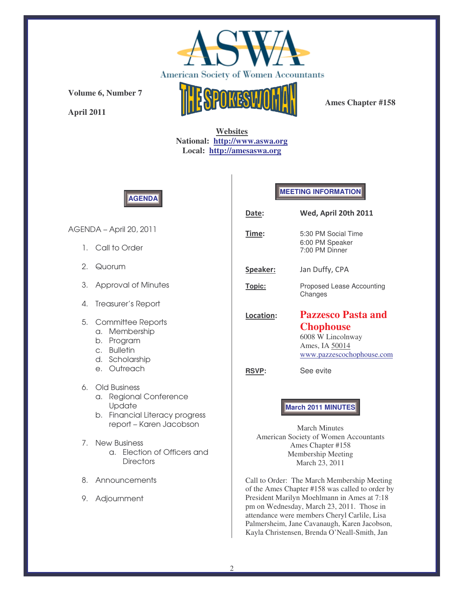

**April 2011**



**Ames Chapter #158**

**Websites National: http://www.aswa.org Local: http://amesaswa.org**



## **MEETING INFORMATION**

| Date:         | Wed, April 20th 2011                                                                                              |
|---------------|-------------------------------------------------------------------------------------------------------------------|
| <u>Time</u> : | 5:30 PM Social Time<br>6:00 PM Speaker<br>7:00 PM Dinner                                                          |
| Speaker:      | Jan Duffy, CPA                                                                                                    |
| Topic:        | Proposed Lease Accounting<br>Changes                                                                              |
| Location:     | <b>Pazzesco Pasta and</b><br><b>Chophouse</b><br>6008 W Lincolnway<br>Ames, IA 50014<br>www.pazzescochophouse.com |
| <b>RSVP:</b>  | See evite                                                                                                         |

### **March 2011 MINUTES**

March Minutes American Society of Women Accountants Ames Chapter #158 Membership Meeting March 23, 2011

Call to Order: The March Membership Meeting of the Ames Chapter #158 was called to order by President Marilyn Moehlmann in Ames at 7:18 pm on Wednesday, March 23, 2011. Those in attendance were members Cheryl Carlile, Lisa Palmersheim, Jane Cavanaugh, Karen Jacobson, Kayla Christensen, Brenda O'Neall-Smith, Jan

AGENDA – April 20, 2011

- 1. Call to Order
- 2. Quorum
- 3. Approval of Minutes
- 4. Treasurer's Report
- 5. Committee Reports
	- a. Membership
	- b. Program
	- c. Bulletin
	- d. Scholarship
	- e. Outreach
- 6. Old Business
	- a. Regional Conference **Update**
	- b. Financial Literacy progress report – Karen Jacobson
- 7. New Business a. Election of Officers and **Directors**
- 8. Announcements
- 9. Adjournment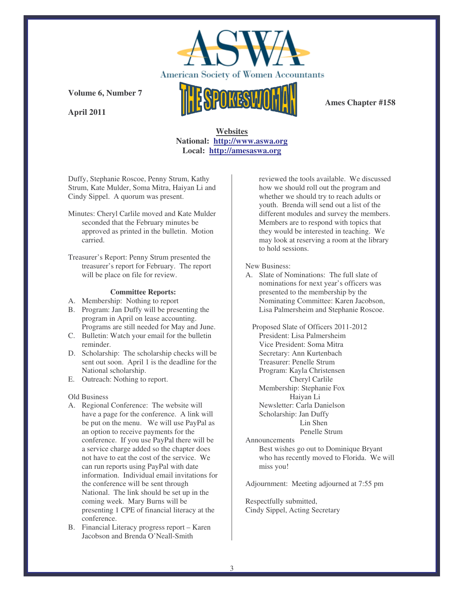

**April 2011**



**Ames Chapter #158**

# **Websites National: http://www.aswa.org Local: http://amesaswa.org**

Duffy, Stephanie Roscoe, Penny Strum, Kathy Strum, Kate Mulder, Soma Mitra, Haiyan Li and Cindy Sippel. A quorum was present.

- Minutes: Cheryl Carlile moved and Kate Mulder seconded that the February minutes be approved as printed in the bulletin. Motion carried.
- Treasurer's Report: Penny Strum presented the treasurer's report for February. The report will be place on file for review.

### **Committee Reports:**

- A. Membership: Nothing to report
- B. Program: Jan Duffy will be presenting the program in April on lease accounting. Programs are still needed for May and June.
- C. Bulletin: Watch your email for the bulletin reminder.
- D. Scholarship: The scholarship checks will be sent out soon. April 1 is the deadline for the National scholarship.
- E. Outreach: Nothing to report.

#### Old Business

- A. Regional Conference: The website will have a page for the conference. A link will be put on the menu. We will use PayPal as an option to receive payments for the conference. If you use PayPal there will be a service charge added so the chapter does not have to eat the cost of the service. We can run reports using PayPal with date information. Individual email invitations for the conference will be sent through National. The link should be set up in the coming week. Mary Burns will be presenting 1 CPE of financial literacy at the conference.
- B. Financial Literacy progress report Karen Jacobson and Brenda O'Neall-Smith

reviewed the tools available. We discussed how we should roll out the program and whether we should try to reach adults or youth. Brenda will send out a list of the different modules and survey the members. Members are to respond with topics that they would be interested in teaching. We may look at reserving a room at the library to hold sessions.

#### New Business:

A. Slate of Nominations: The full slate of nominations for next year's officers was presented to the membership by the Nominating Committee: Karen Jacobson, Lisa Palmersheim and Stephanie Roscoe.

Proposed Slate of Officers 2011-2012 President: Lisa Palmersheim Vice President: Soma Mitra Secretary: Ann Kurtenbach Treasurer: Penelle Strum Program: Kayla Christensen Cheryl Carlile Membership: Stephanie Fox Haiyan Li Newsletter: Carla Danielson Scholarship: Jan Duffy Lin Shen Penelle Strum Announcements

> Best wishes go out to Dominique Bryant who has recently moved to Florida. We will miss you!

Adjournment: Meeting adjourned at 7:55 pm

Respectfully submitted, Cindy Sippel, Acting Secretary